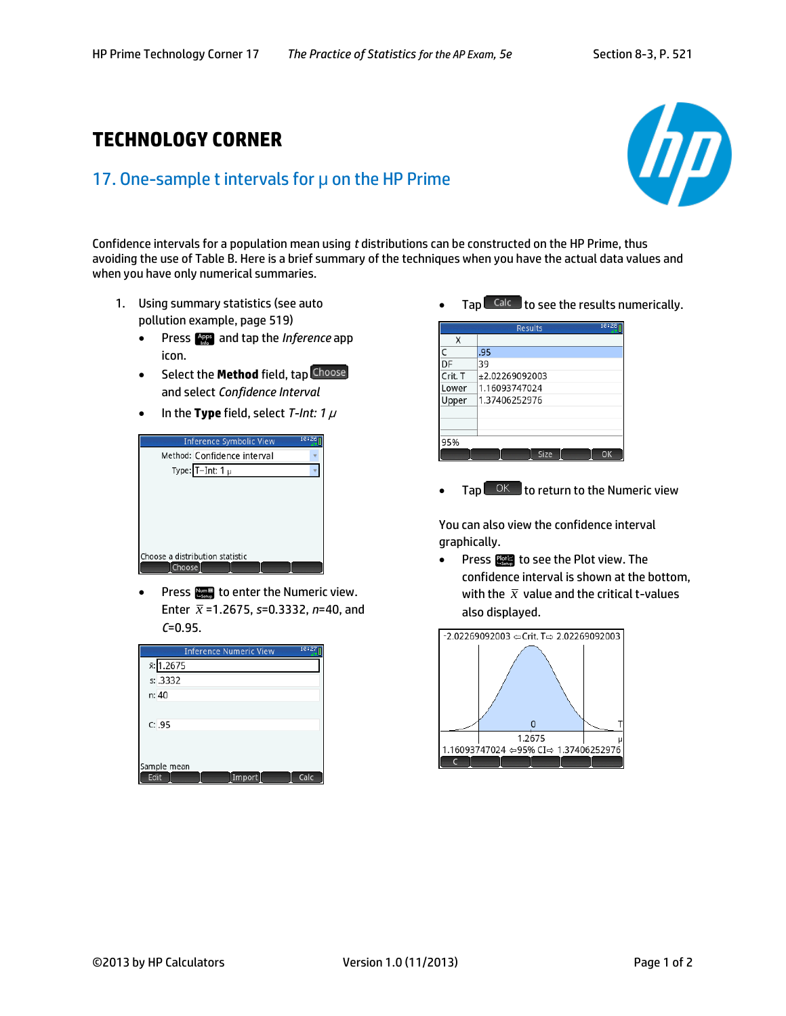## **TECHNOLOGY CORNER**

## 17. One-sample t intervals for μ on the HP Prime



Confidence intervals for a population mean using *t* distributions can be constructed on the HP Prime, thus avoiding the use of Table B. Here is a brief summary of the techniques when you have the actual data values and when you have only numerical summaries.

- 1. Using summary statistics (see auto pollution example, page 519)
	- **•** Press **Press** and tap the *Inference* app icon.
	- **•** Select the **Method** field, tap Choose and select *Confidence Interval*
	- In the **Type** field, select *T-Int: 1*  $\mu$



Press  $\lim_{n \to \infty}$  to enter the Numeric view. Enter *x* =1.2675, *s*=0.3332, *n*=40, and *C*=0.95.

| 10:27<br><b>Inference Numeric View</b> |
|----------------------------------------|
| x: 1.2675                              |
| s: .3332                               |
| n: 40                                  |
|                                        |
| C: .95                                 |
|                                        |
|                                        |
| Sample mean                            |
| Calc<br>Edit<br>Import                 |



|         | 10:28<br><b>Results</b> |  |  |
|---------|-------------------------|--|--|
| Χ       |                         |  |  |
| C       | .95                     |  |  |
| DF      | 39                      |  |  |
| Crit. T | +2.02269092003          |  |  |
| Lower   | 1.16093747024           |  |  |
| Upper   | 1.37406252976           |  |  |
|         |                         |  |  |
|         |                         |  |  |
|         |                         |  |  |
| 95%     |                         |  |  |
|         | Size<br>∩ĸ              |  |  |

 $Tap \sim 0 \text{K}$  to return to the Numeric view

You can also view the confidence interval graphically.

• Press **Public 10** to see the Plot view. The confidence interval is shown at the bottom, with the  $\bar{x}$  value and the critical t-values also displayed.